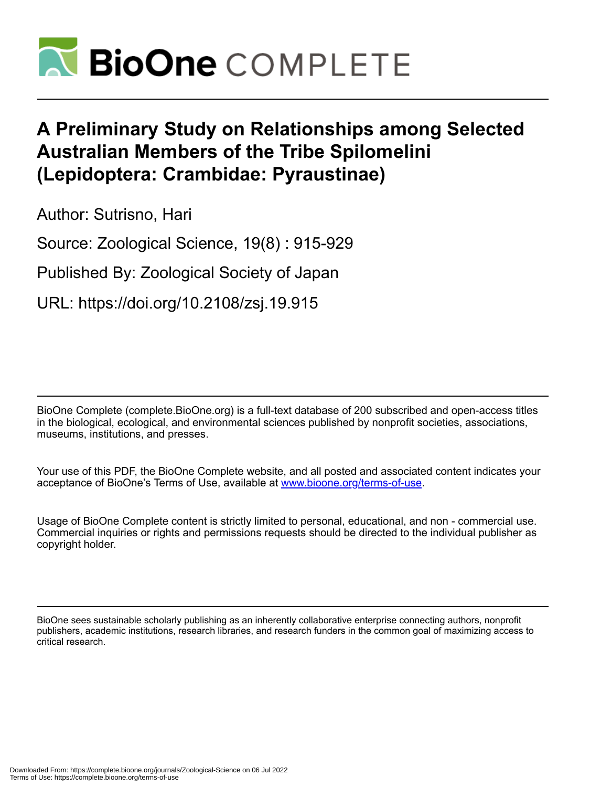

# **A Preliminary Study on Relationships among Selected Australian Members of the Tribe Spilomelini (Lepidoptera: Crambidae: Pyraustinae)**

Author: Sutrisno, Hari

Source: Zoological Science, 19(8) : 915-929

Published By: Zoological Society of Japan

URL: https://doi.org/10.2108/zsj.19.915

BioOne Complete (complete.BioOne.org) is a full-text database of 200 subscribed and open-access titles in the biological, ecological, and environmental sciences published by nonprofit societies, associations, museums, institutions, and presses.

Your use of this PDF, the BioOne Complete website, and all posted and associated content indicates your acceptance of BioOne's Terms of Use, available at www.bioone.org/terms-of-use.

Usage of BioOne Complete content is strictly limited to personal, educational, and non - commercial use. Commercial inquiries or rights and permissions requests should be directed to the individual publisher as copyright holder.

BioOne sees sustainable scholarly publishing as an inherently collaborative enterprise connecting authors, nonprofit publishers, academic institutions, research libraries, and research funders in the common goal of maximizing access to critical research.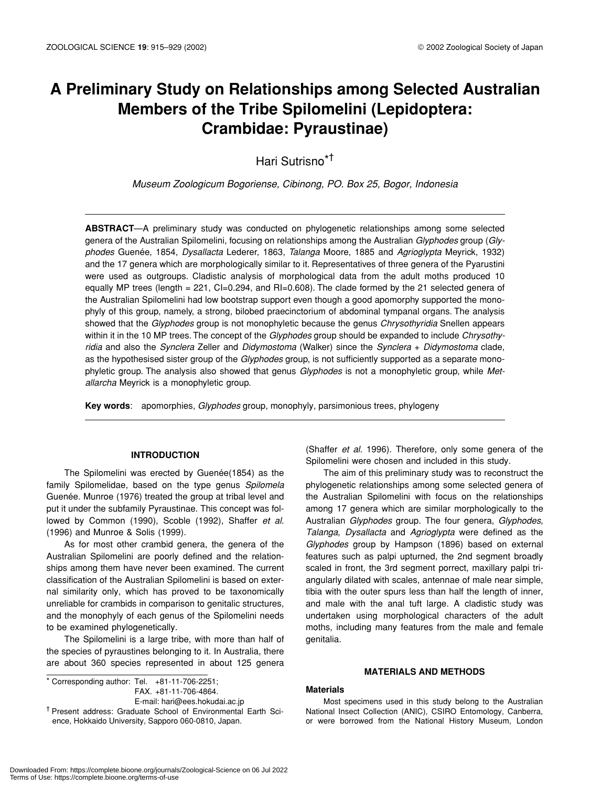## **A Preliminary Study on Relationships among Selected Australian Members of the Tribe Spilomelini (Lepidoptera: Crambidae: Pyraustinae)**

Hari Sutrisno\*†

*Museum Zoologicum Bogoriense, Cibinong, PO. Box 25, Bogor, Indonesia*

**ABSTRACT**—A preliminary study was conducted on phylogenetic relationships among some selected genera of the Australian Spilomelini, focusing on relationships among the Australian *Glyphodes* group (*Glyphodes* Guenée, 1854, *Dysallacta* Lederer, 1863, *Talanga* Moore, 1885 and *Agrioglypta* Meyrick, 1932) and the 17 genera which are morphologically similar to it. Representatives of three genera of the Pyarustini were used as outgroups. Cladistic analysis of morphological data from the adult moths produced 10 equally MP trees (length = 221, CI=0.294, and RI=0.608). The clade formed by the 21 selected genera of the Australian Spilomelini had low bootstrap support even though a good apomorphy supported the monophyly of this group, namely, a strong, bilobed praecinctorium of abdominal tympanal organs. The analysis showed that the *Glyphodes* group is not monophyletic because the genus *Chrysothyridia* Snellen appears within it in the 10 MP trees. The concept of the *Glyphodes* group should be expanded to include *Chrysothyridia* and also the *Synclera* Zeller and *Didymostoma* (Walker) since the *Synclera* + *Didymostoma* clade, as the hypothesised sister group of the *Glyphodes* group, is not sufficiently supported as a separate monophyletic group. The analysis also showed that genus *Glyphodes* is not a monophyletic group, while *Metallarcha* Meyrick is a monophyletic group.

**Key words**: apomorphies, *Glyphodes* group, monophyly, parsimonious trees, phylogeny

#### **INTRODUCTION**

The Spilomelini was erected by Guenée(1854) as the family Spilomelidae, based on the type genus *Spilomela* Guenée. Munroe (1976) treated the group at tribal level and put it under the subfamily Pyraustinae. This concept was followed by Common (1990), Scoble (1992), Shaffer *et al.* (1996) and Munroe & Solis (1999).

As for most other crambid genera, the genera of the Australian Spilomelini are poorly defined and the relationships among them have never been examined. The current classification of the Australian Spilomelini is based on external similarity only, which has proved to be taxonomically unreliable for crambids in comparison to genitalic structures, and the monophyly of each genus of the Spilomelini needs to be examined phylogenetically.

The Spilomelini is a large tribe, with more than half of the species of pyraustines belonging to it. In Australia, there are about 360 species represented in about 125 genera

 $\overline{\phantom{1}}$  Corresponding author: Tel. +81-11-706-2251; FAX. +81-11-706-4864.

E-mail: hari@ees.hokudai.ac.jp

(Shaffer *et al.* 1996). Therefore, only some genera of the Spilomelini were chosen and included in this study.

The aim of this preliminary study was to reconstruct the phylogenetic relationships among some selected genera of the Australian Spilomelini with focus on the relationships among 17 genera which are similar morphologically to the Australian *Glyphodes* group. The four genera, *Glyphodes*, *Talanga*, *Dysallacta* and *Agrioglypta* were defined as the *Glyphodes* group by Hampson (1896) based on external features such as palpi upturned, the 2nd segment broadly scaled in front, the 3rd segment porrect, maxillary palpi triangularly dilated with scales, antennae of male near simple, tibia with the outer spurs less than half the length of inner, and male with the anal tuft large. A cladistic study was undertaken using morphological characters of the adult moths, including many features from the male and female genitalia.

#### **MATERIALS AND METHODS**

#### **Materials**

Most specimens used in this study belong to the Australian National Insect Collection (ANIC), CSIRO Entomology, Canberra, or were borrowed from the National History Museum, London

<sup>†</sup> Present address: Graduate School of Environmental Earth Science, Hokkaido University, Sapporo 060-0810, Japan.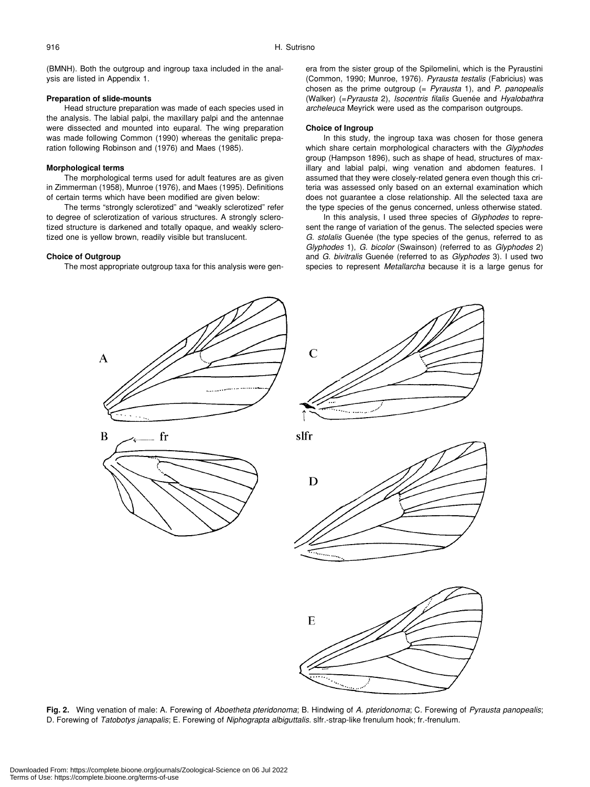(BMNH). Both the outgroup and ingroup taxa included in the analysis are listed in Appendix 1.

#### **Preparation of slide-mounts**

Head structure preparation was made of each species used in the analysis. The labial palpi, the maxillary palpi and the antennae were dissected and mounted into euparal. The wing preparation was made following Common (1990) whereas the genitalic preparation following Robinson and (1976) and Maes (1985).

#### **Morphological terms**

The morphological terms used for adult features are as given in Zimmerman (1958), Munroe (1976), and Maes (1995). Definitions of certain terms which have been modified are given below:

The terms "strongly sclerotized" and "weakly sclerotized" refer to degree of sclerotization of various structures. A strongly sclerotized structure is darkened and totally opaque, and weakly sclerotized one is yellow brown, readily visible but translucent.

fr

#### **Choice of Outgroup**

A

B

The most appropriate outgroup taxa for this analysis were gen-

era from the sister group of the Spilomelini, which is the Pyraustini (Common, 1990; Munroe, 1976). *Pyrausta testalis* (Fabricius) was chosen as the prime outgroup (= *Pyrausta* 1), and *P. panopealis* (Walker) (=*Pyrausta* 2), *Isocentris filalis* Guenée and *Hyalobathra archeleuca* Meyrick were used as the comparison outgroups.

#### **Choice of Ingroup**

 $\overline{C}$ 

slfr

In this study, the ingroup taxa was chosen for those genera which share certain morphological characters with the *Glyphodes* group (Hampson 1896), such as shape of head, structures of maxillary and labial palpi, wing venation and abdomen features. I assumed that they were closely-related genera even though this criteria was assessed only based on an external examination which does not guarantee a close relationship. All the selected taxa are the type species of the genus concerned, unless otherwise stated.

In this analysis, I used three species of *Glyphodes* to represent the range of variation of the genus. The selected species were *G. stolalis* Guenée (the type species of the genus, referred to as *Glyphodes* 1), *G. bicolor* (Swainson) (referred to as *Glyphodes* 2) and *G. bivitralis* Guenée (referred to as *Glyphodes* 3). I used two species to represent *Metallarcha* because it is a large genus for



**Fig. 2.** Wing venation of male: A. Forewing of *Aboetheta pteridonoma*; B. Hindwing of *A. pteridonoma*; C. Forewing of *Pyrausta panopealis*; D. Forewing of *Tatobotys janapalis*; E. Forewing of *Niphograpta albiguttalis*. slfr.-strap-like frenulum hook; fr.-frenulum.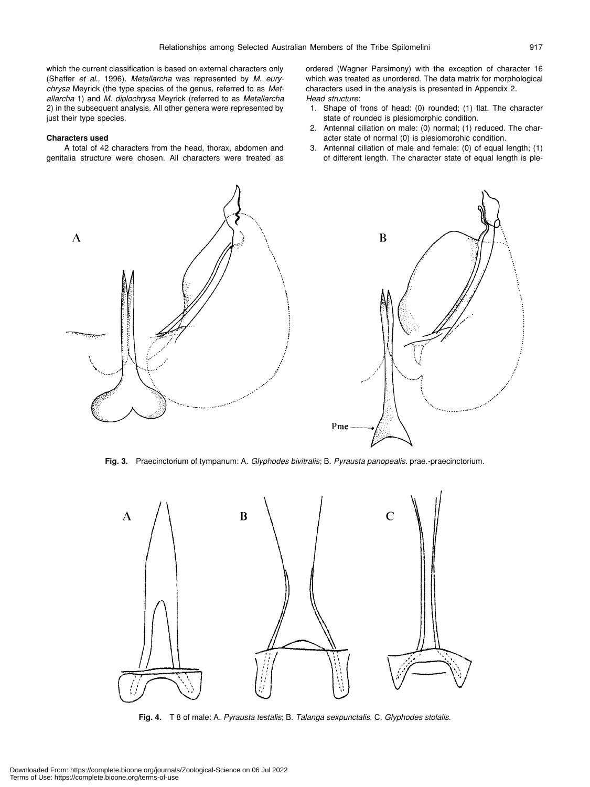which the current classification is based on external characters only (Shaffer *et al.,* 1996). *Metallarcha* was represented by *M. eurychrysa* Meyrick (the type species of the genus, referred to as *Metallarcha* 1) and *M. diplochrysa* Meyrick (referred to as *Metallarcha* 2) in the subsequent analysis. All other genera were represented by just their type species.

#### **Characters used**

A total of 42 characters from the head, thorax, abdomen and genitalia structure were chosen. All characters were treated as

ordered (Wagner Parsimony) with the exception of character 16 which was treated as unordered. The data matrix for morphological characters used in the analysis is presented in Appendix 2. *Head structure*:

- 1. Shape of frons of head: (0) rounded; (1) flat. The character state of rounded is plesiomorphic condition.
- 2. Antennal ciliation on male: (0) normal; (1) reduced. The character state of normal (0) is plesiomorphic condition.
- 3. Antennal ciliation of male and female: (0) of equal length; (1) of different length. The character state of equal length is ple-



**Fig. 3.** Praecinctorium of tympanum: A. *Glyphodes bivitralis*; B. *Pyrausta panopealis*. prae.-praecinctorium.



**Fig. 4.** T 8 of male: A. *Pyrausta testalis*; B. *Talanga sexpunctalis*, C. *Glyphodes stolalis*.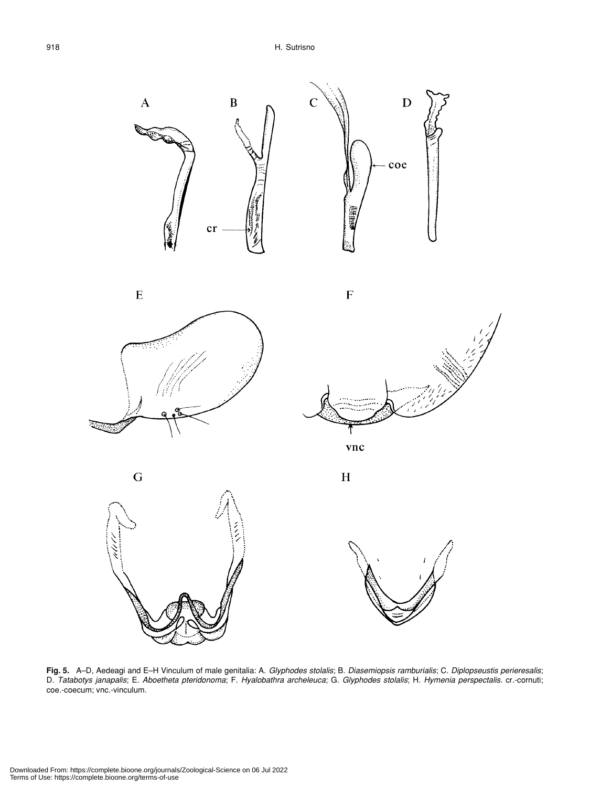











 $\mathbf H$ 

 $\overline{\mathrm{F}}$ 



**Fig. 5.** A–D, Aedeagi and E–H Vinculum of male genitalia: A. *Glyphodes stolalis*; B. *Diasemiopsis ramburialis*; C. *Diplopseustis perieresalis*; D. *Tatabotys janapalis*; E. *Aboetheta pteridonoma*; F. *Hyalobathra archeleuca*; G. *Glyphodes stolalis*; H. *Hymenia perspectalis*. cr.-cornuti; coe.-coecum; vnc.-vinculum.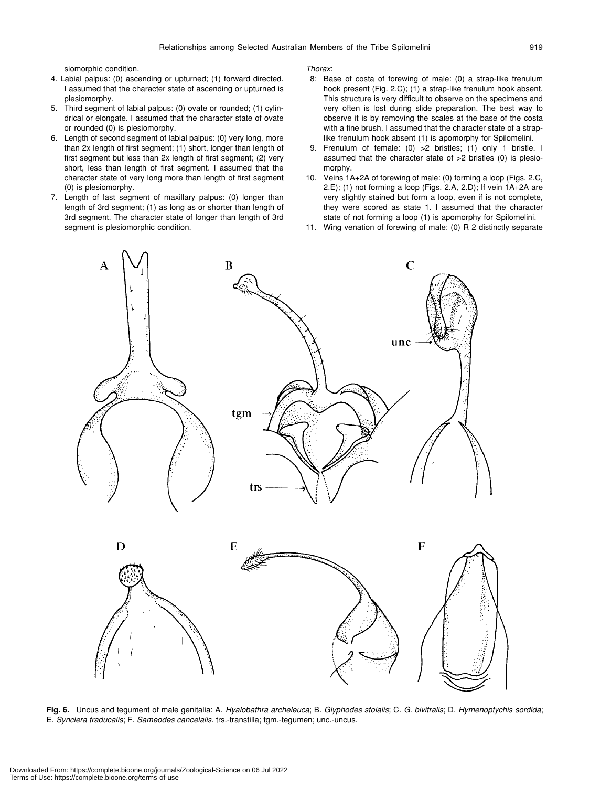siomorphic condition.

- 4. Labial palpus: (0) ascending or upturned; (1) forward directed. I assumed that the character state of ascending or upturned is plesiomorphy.
- 5. Third segment of labial palpus: (0) ovate or rounded; (1) cylindrical or elongate. I assumed that the character state of ovate or rounded (0) is plesiomorphy.
- 6. Length of second segment of labial palpus: (0) very long, more than 2x length of first segment; (1) short, longer than length of first segment but less than 2x length of first segment; (2) very short, less than length of first segment. I assumed that the character state of very long more than length of first segment (0) is plesiomorphy.
- 7. Length of last segment of maxillary palpus: (0) longer than length of 3rd segment; (1) as long as or shorter than length of 3rd segment. The character state of longer than length of 3rd segment is plesiomorphic condition.

*Thorax*:

- 8: Base of costa of forewing of male: (0) a strap-like frenulum hook present (Fig. 2.C); (1) a strap-like frenulum hook absent. This structure is very difficult to observe on the specimens and very often is lost during slide preparation. The best way to observe it is by removing the scales at the base of the costa with a fine brush. I assumed that the character state of a straplike frenulum hook absent (1) is apomorphy for Spilomelini.
- 9. Frenulum of female: (0) >2 bristles; (1) only 1 bristle. I assumed that the character state of >2 bristles (0) is plesiomorphy.
- 10. Veins 1A+2A of forewing of male: (0) forming a loop (Figs. 2.C, 2.E); (1) not forming a loop (Figs. 2.A, 2.D); If vein 1A+2A are very slightly stained but form a loop, even if is not complete, they were scored as state 1. I assumed that the character state of not forming a loop (1) is apomorphy for Spilomelini.
- 11. Wing venation of forewing of male: (0) R 2 distinctly separate



**Fig. 6.** Uncus and tegument of male genitalia: A. *Hyalobathra archeleuca*; B. *Glyphodes stolalis*; C. *G. bivitralis*; D. *Hymenoptychis sordida*; E. *Synclera traducalis*; F. *Sameodes cancelalis*. trs.-transtilla; tgm.-tegumen; unc.-uncus.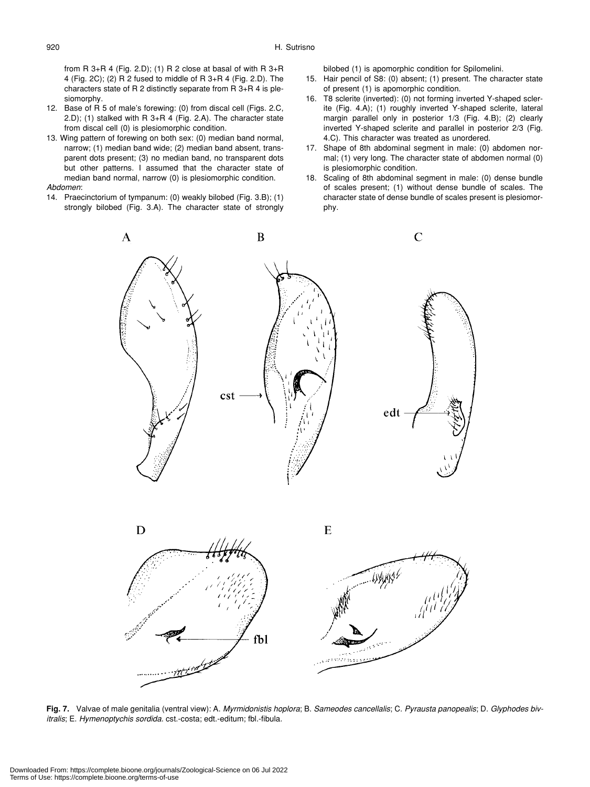from R 3+R 4 (Fig. 2.D); (1) R 2 close at basal of with R  $3+R$ 4 (Fig. 2C); (2) R 2 fused to middle of R 3+R 4 (Fig. 2.D). The characters state of R 2 distinctly separate from R 3+R 4 is plesiomorphy.

- 12. Base of R 5 of male's forewing: (0) from discal cell (Figs. 2.C, 2.D); (1) stalked with R 3+R 4 (Fig. 2.A). The character state from discal cell (0) is plesiomorphic condition.
- 13. Wing pattern of forewing on both sex: (0) median band normal, narrow; (1) median band wide; (2) median band absent, transparent dots present; (3) no median band, no transparent dots but other patterns. I assumed that the character state of median band normal, narrow (0) is plesiomorphic condition. *Abdomen*:
- 14. Praecinctorium of tympanum: (0) weakly bilobed (Fig. 3.B); (1) strongly bilobed (Fig. 3.A). The character state of strongly

bilobed (1) is apomorphic condition for Spilomelini.

- 15. Hair pencil of S8: (0) absent; (1) present. The character state of present (1) is apomorphic condition.
- 16. T8 sclerite (inverted): (0) not forming inverted Y-shaped sclerite (Fig. 4.A); (1) roughly inverted Y-shaped sclerite, lateral margin parallel only in posterior 1/3 (Fig. 4.B); (2) clearly inverted Y-shaped sclerite and parallel in posterior 2/3 (Fig. 4.C). This character was treated as unordered.
- 17. Shape of 8th abdominal segment in male: (0) abdomen normal; (1) very long. The character state of abdomen normal (0) is plesiomorphic condition.
- 18. Scaling of 8th abdominal segment in male: (0) dense bundle of scales present; (1) without dense bundle of scales. The character state of dense bundle of scales present is plesiomorphy.



**Fig. 7.** Valvae of male genitalia (ventral view): A. *Myrmidonistis hoplora*; B. *Sameodes cancellalis*; C. *Pyrausta panopealis*; D. *Glyphodes bivitralis*; E. *Hymenoptychis sordida*. cst.-costa; edt.-editum; fbl.-fibula.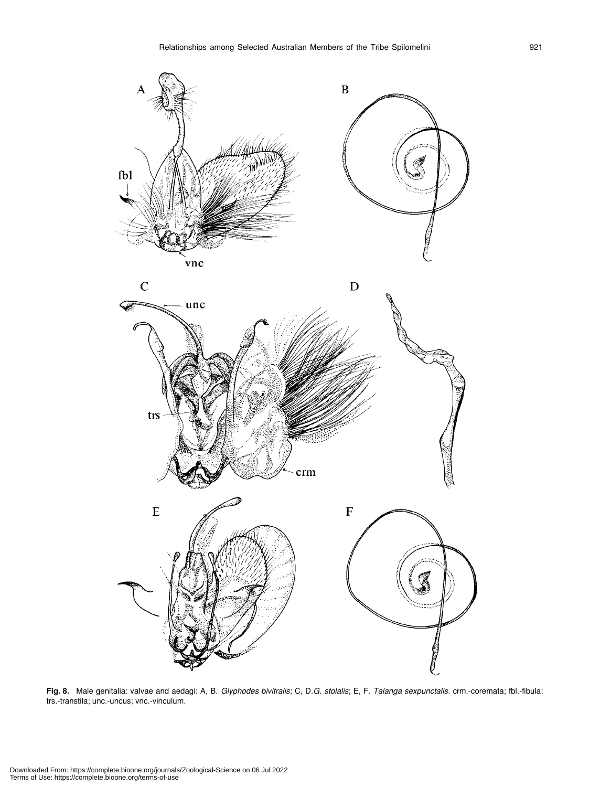

**Fig. 8.** Male genitalia: valvae and aedagi: A, B. *Glyphodes bivitralis*; C, D.*G. stolalis*; E, F. *Talanga sexpunctalis*. crm.-coremata; fbl.-fibula; trs.-transtila; unc.-uncus; vnc.-vinculum.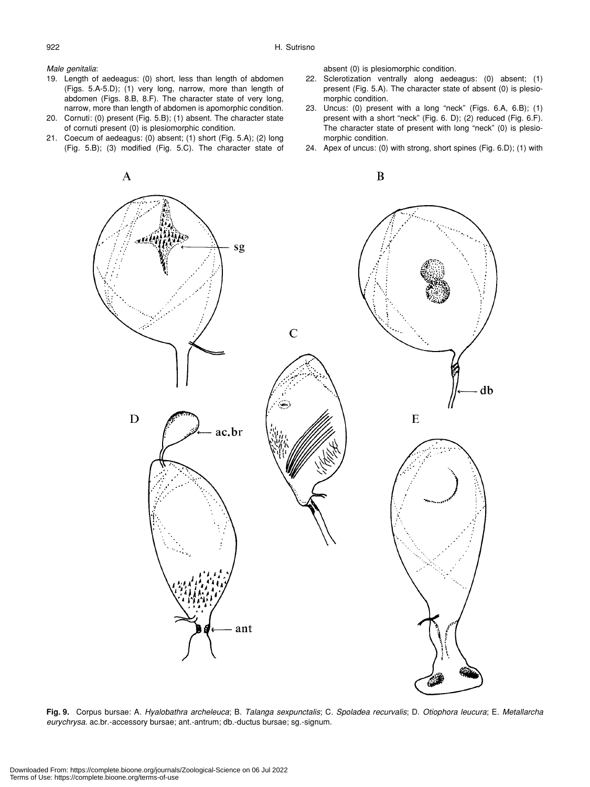#### *Male genitalia*:

- 19. Length of aedeagus: (0) short, less than length of abdomen (Figs. 5.A-5.D); (1) very long, narrow, more than length of abdomen (Figs. 8.B, 8.F). The character state of very long, narrow, more than length of abdomen is apomorphic condition.
- 20. Cornuti: (0) present (Fig. 5.B); (1) absent. The character state of cornuti present (0) is plesiomorphic condition.
- 21. Coecum of aedeagus: (0) absent; (1) short (Fig. 5.A); (2) long (Fig. 5.B); (3) modified (Fig. 5.C). The character state of

absent (0) is plesiomorphic condition.

- 22. Sclerotization ventrally along aedeagus: (0) absent; (1) present (Fig. 5.A). The character state of absent (0) is plesiomorphic condition.
- 23. Uncus: (0) present with a long "neck" (Figs. 6.A, 6.B); (1) present with a short "neck" (Fig. 6. D); (2) reduced (Fig. 6.F). The character state of present with long "neck" (0) is plesiomorphic condition.
- 24. Apex of uncus: (0) with strong, short spines (Fig. 6.D); (1) with



**Fig. 9.** Corpus bursae: A. *Hyalobathra archeleuca*; B. *Talanga sexpunctalis*; C. *Spoladea recurvalis*; D. *Otiophora leucura*; E. *Metallarcha eurychrysa.* ac.br.-accessory bursae; ant.-antrum; db.-ductus bursae; sg.-signum.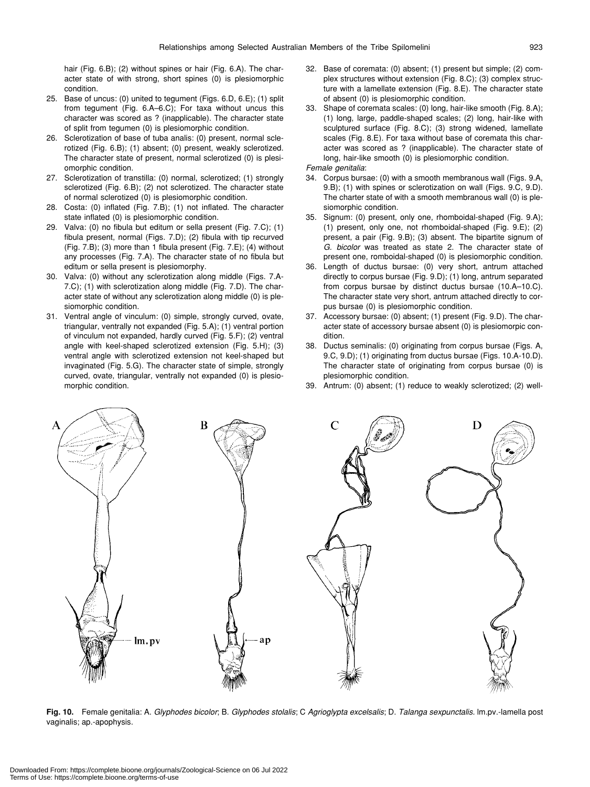hair (Fig. 6.B); (2) without spines or hair (Fig. 6.A). The character state of with strong, short spines (0) is plesiomorphic condition.

- 25. Base of uncus: (0) united to tegument (Figs. 6.D, 6.E); (1) split from tegument (Fig. 6.A–6.C); For taxa without uncus this character was scored as ? (inapplicable). The character state of split from tegumen (0) is plesiomorphic condition.
- 26. Sclerotization of base of tuba analis: (0) present, normal sclerotized (Fig. 6.B); (1) absent; (0) present, weakly sclerotized. The character state of present, normal sclerotized (0) is plesiomorphic condition.
- 27. Sclerotization of transtilla: (0) normal, sclerotized; (1) strongly sclerotized (Fig. 6.B); (2) not sclerotized. The character state of normal sclerotized (0) is plesiomorphic condition.
- 28. Costa: (0) inflated (Fig. 7.B); (1) not inflated. The character state inflated (0) is plesiomorphic condition.
- 29. Valva: (0) no fibula but editum or sella present (Fig. 7.C); (1) fibula present, normal (Figs. 7.D); (2) fibula with tip recurved (Fig. 7.B); (3) more than 1 fibula present (Fig. 7.E); (4) without any processes (Fig. 7.A). The character state of no fibula but editum or sella present is plesiomorphy.
- 30. Valva: (0) without any sclerotization along middle (Figs. 7.A-7.C); (1) with sclerotization along middle (Fig. 7.D). The character state of without any sclerotization along middle (0) is plesiomorphic condition.
- 31. Ventral angle of vinculum: (0) simple, strongly curved, ovate, triangular, ventrally not expanded (Fig. 5.A); (1) ventral portion of vinculum not expanded, hardly curved (Fig. 5.F); (2) ventral angle with keel-shaped sclerotized extension (Fig. 5.H); (3) ventral angle with sclerotized extension not keel-shaped but invaginated (Fig. 5.G). The character state of simple, strongly curved, ovate, triangular, ventrally not expanded (0) is plesiomorphic condition.
- 32. Base of coremata: (0) absent; (1) present but simple; (2) complex structures without extension (Fig. 8.C); (3) complex structure with a lamellate extension (Fig. 8.E). The character state of absent (0) is plesiomorphic condition.
- 33. Shape of coremata scales: (0) long, hair-like smooth (Fig. 8.A); (1) long, large, paddle-shaped scales; (2) long, hair-like with sculptured surface (Fig. 8.C); (3) strong widened, lamellate scales (Fig. 8.E). For taxa without base of coremata this character was scored as ? (inapplicable). The character state of long, hair-like smooth (0) is plesiomorphic condition.

*Female genitalia*:

- 34. Corpus bursae: (0) with a smooth membranous wall (Figs. 9.A, 9.B); (1) with spines or sclerotization on wall (Figs. 9.C, 9.D). The charter state of with a smooth membranous wall (0) is plesiomorphic condition.
- 35. Signum: (0) present, only one, rhomboidal-shaped (Fig. 9.A); (1) present, only one, not rhomboidal-shaped (Fig. 9.E); (2) present, a pair (Fig. 9.B); (3) absent. The bipartite signum of *G. bicolor* was treated as state 2. The character state of present one, romboidal-shaped (0) is plesiomorphic condition.
- 36. Length of ductus bursae: (0) very short, antrum attached directly to corpus bursae (Fig. 9.D); (1) long, antrum separated from corpus bursae by distinct ductus bursae (10.A–10.C). The character state very short, antrum attached directly to corpus bursae (0) is plesiomorphic condition.
- 37. Accessory bursae: (0) absent; (1) present (Fig. 9.D). The character state of accessory bursae absent (0) is plesiomorpic condition.
- 38. Ductus seminalis: (0) originating from corpus bursae (Figs. A, 9.C, 9.D); (1) originating from ductus bursae (Figs. 10.A-10.D). The character state of originating from corpus bursae (0) is plesiomorphic condition.
- 39. Antrum: (0) absent; (1) reduce to weakly sclerotized; (2) well-



**Fig. 10.** Female genitalia: A. *Glyphodes bicolor*; B. *Glyphodes stolalis*; C *Agrioglypta excelsalis*; D. *Talanga sexpunctalis.* lm.pv.-lamella post vaginalis; ap.-apophysis.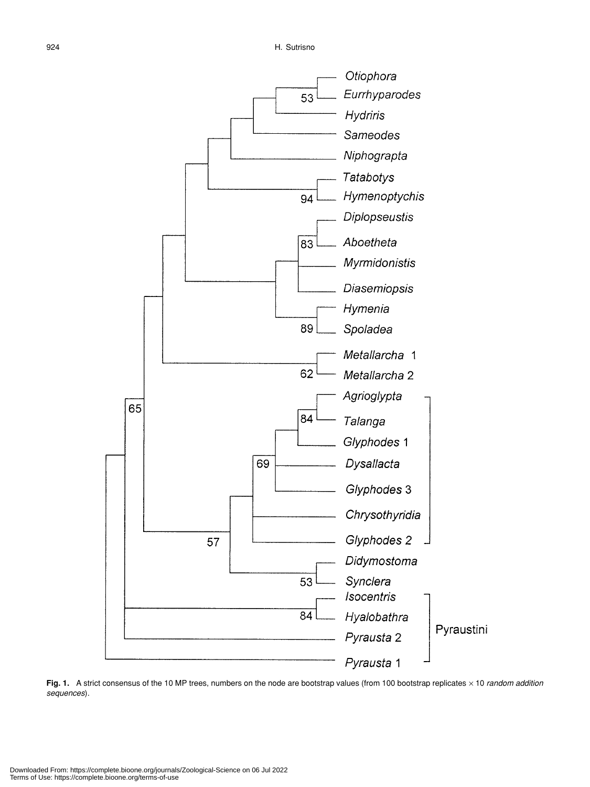

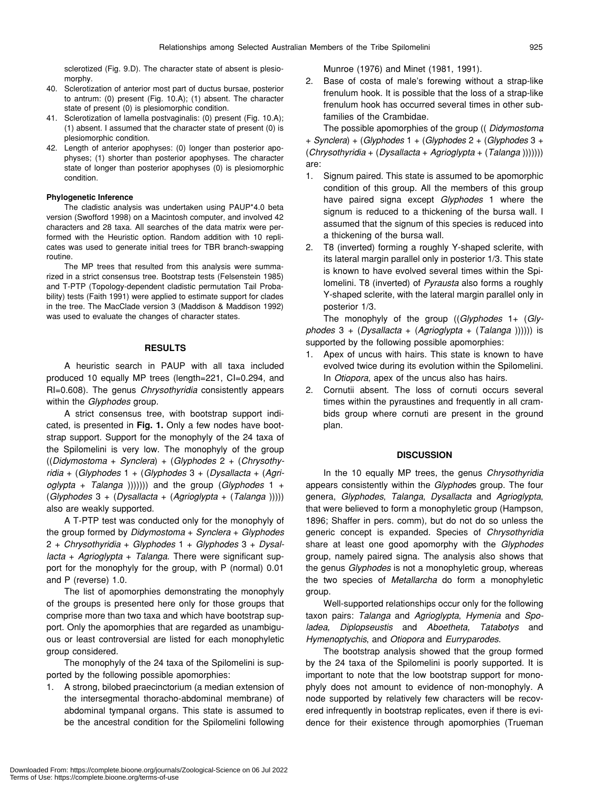sclerotized (Fig. 9.D). The character state of absent is plesiomorphy.

- 40. Sclerotization of anterior most part of ductus bursae, posterior to antrum: (0) present (Fig. 10.A); (1) absent. The character state of present (0) is plesiomorphic condition.
- 41. Sclerotization of lamella postvaginalis: (0) present (Fig. 10.A); (1) absent. I assumed that the character state of present (0) is plesiomorphic condition.
- 42. Length of anterior apophyses: (0) longer than posterior apophyses; (1) shorter than posterior apophyses. The character state of longer than posterior apophyses (0) is plesiomorphic condition.

#### **Phylogenetic Inference**

The cladistic analysis was undertaken using PAUP\*4.0 beta version (Swofford 1998) on a Macintosh computer, and involved 42 characters and 28 taxa. All searches of the data matrix were performed with the Heuristic option. Random addition with 10 replicates was used to generate initial trees for TBR branch-swapping routine.

The MP trees that resulted from this analysis were summarized in a strict consensus tree. Bootstrap tests (Felsenstein 1985) and T-PTP (Topology-dependent cladistic permutation Tail Probability) tests (Faith 1991) were applied to estimate support for clades in the tree. The MacClade version 3 (Maddison & Maddison 1992) was used to evaluate the changes of character states.

#### **RESULTS**

A heuristic search in PAUP with all taxa included produced 10 equally MP trees (length=221, CI=0.294, and RI=0.608). The genus *Chrysothyridia* consistently appears within the *Glyphodes* group.

A strict consensus tree, with bootstrap support indicated, is presented in **Fig. 1.** Only a few nodes have bootstrap support. Support for the monophyly of the 24 taxa of the Spilomelini is very low. The monophyly of the group ((*Didymostoma* + *Synclera*) + (*Glyphodes* 2 + (*Chrysothyridia* + (*Glyphodes* 1 + (*Glyphodes* 3 + (*Dysallacta* + (*Agrioglypta* + *Talanga* ))))))) and the group (*Glyphodes* 1 + (*Glyphodes* 3 + (*Dysallacta* + (*Agrioglypta* + (*Talanga* ))))) also are weakly supported.

A T-PTP test was conducted only for the monophyly of the group formed by *Didymostoma* + *Synclera* + *Glyphodes* 2 + *Chrysothyridia* + *Glyphodes* 1 + *Glyphodes* 3 + *Dysallacta* + *Agrioglypta* + *Talanga*. There were significant support for the monophyly for the group, with P (normal) 0.01 and P (reverse) 1.0.

The list of apomorphies demonstrating the monophyly of the groups is presented here only for those groups that comprise more than two taxa and which have bootstrap support. Only the apomorphies that are regarded as unambiguous or least controversial are listed for each monophyletic group considered.

The monophyly of the 24 taxa of the Spilomelini is supported by the following possible apomorphies:

1. A strong, bilobed praecinctorium (a median extension of the intersegmental thoracho-abdominal membrane) of abdominal tympanal organs. This state is assumed to be the ancestral condition for the Spilomelini following

Munroe (1976) and Minet (1981, 1991).

2. Base of costa of male's forewing without a strap-like frenulum hook. It is possible that the loss of a strap-like frenulum hook has occurred several times in other subfamilies of the Crambidae.

The possible apomorphies of the group (( *Didymostoma* + *Synclera*) + (*Glyphodes* 1 + (*Glyphodes* 2 + (*Glyphodes* 3 + (*Chrysothyridia* + (*Dysallacta* + *Agrioglypta* + (*Talanga* ))))))) are:

- 1. Signum paired. This state is assumed to be apomorphic condition of this group. All the members of this group have paired signa except *Glyphodes* 1 where the signum is reduced to a thickening of the bursa wall. I assumed that the signum of this species is reduced into a thickening of the bursa wall.
- 2. T8 (inverted) forming a roughly Y-shaped sclerite, with its lateral margin parallel only in posterior 1/3. This state is known to have evolved several times within the Spilomelini. T8 (inverted) of *Pyrausta* also forms a roughly Y-shaped sclerite, with the lateral margin parallel only in posterior 1/3.

The monophyly of the group ((*Glyphodes* 1+ (*Glyphodes* 3 + (*Dysallacta* + (*Agrioglypta* + (*Talanga* )))))) is supported by the following possible apomorphies:

- 1. Apex of uncus with hairs. This state is known to have evolved twice during its evolution within the Spilomelini. In *Otiopora*, apex of the uncus also has hairs.
- 2. Cornutii absent. The loss of cornuti occurs several times within the pyraustines and frequently in all crambids group where cornuti are present in the ground plan.

#### **DISCUSSION**

In the 10 equally MP trees, the genus *Chrysothyridia* appears consistently within the *Glyphode*s group. The four genera, *Glyphodes*, *Talanga*, *Dysallacta* and *Agrioglypta*, that were believed to form a monophyletic group (Hampson, 1896; Shaffer in pers. comm), but do not do so unless the generic concept is expanded. Species of *Chrysothyridia* share at least one good apomorphy with the *Glyphodes* group, namely paired signa. The analysis also shows that the genus *Glyphodes* is not a monophyletic group, whereas the two species of *Metallarcha* do form a monophyletic group.

Well-supported relationships occur only for the following taxon pairs: *Talanga* and *Agrioglypta*, *Hymenia* and *Spoladea*, *Diplopseustis* and *Aboetheta*, *Tatabotys* and *Hymenoptychis*, and *Otiopora* and *Eurryparodes*.

The bootstrap analysis showed that the group formed by the 24 taxa of the Spilomelini is poorly supported. It is important to note that the low bootstrap support for monophyly does not amount to evidence of non-monophyly. A node supported by relatively few characters will be recovered infrequently in bootstrap replicates, even if there is evidence for their existence through apomorphies (Trueman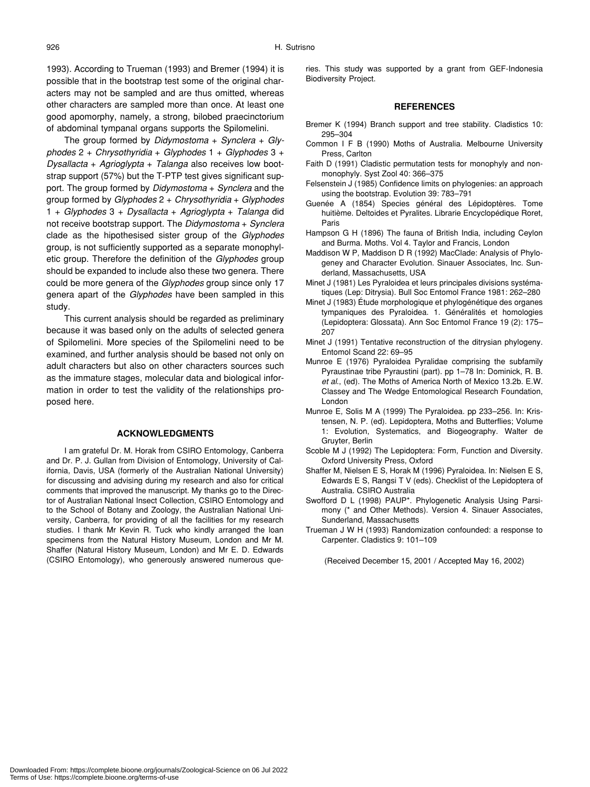1993). According to Trueman (1993) and Bremer (1994) it is possible that in the bootstrap test some of the original characters may not be sampled and are thus omitted, whereas other characters are sampled more than once. At least one good apomorphy, namely, a strong, bilobed praecinctorium of abdominal tympanal organs supports the Spilomelini.

The group formed by *Didymostoma* + *Synclera* + *Glyphodes* 2 + *Chrysothyridia* + *Glyphodes* 1 + *Glyphodes* 3 + *Dysallacta* + *Agrioglypta* + *Talanga* also receives low bootstrap support (57%) but the T-PTP test gives significant support. The group formed by *Didymostoma* + *Synclera* and the group formed by *Glyphodes* 2 + *Chrysothyridia* + *Glyphodes* 1 + *Glyphodes* 3 + *Dysallacta* + *Agrioglypta* + *Talanga* did not receive bootstrap support. The *Didymostoma* + *Synclera* clade as the hipothesised sister group of the *Glyphodes* group, is not sufficiently supported as a separate monophyletic group. Therefore the definition of the *Glyphodes* group should be expanded to include also these two genera. There could be more genera of the *Glyphodes* group since only 17 genera apart of the *Glyphodes* have been sampled in this study.

This current analysis should be regarded as preliminary because it was based only on the adults of selected genera of Spilomelini. More species of the Spilomelini need to be examined, and further analysis should be based not only on adult characters but also on other characters sources such as the immature stages, molecular data and biological information in order to test the validity of the relationships proposed here.

#### **ACKNOWLEDGMENTS**

I am grateful Dr. M. Horak from CSIRO Entomology, Canberra and Dr. P. J. Gullan from Division of Entomology, University of California, Davis, USA (formerly of the Australian National University) for discussing and advising during my research and also for critical comments that improved the manuscript. My thanks go to the Director of Australian National Insect Collection, CSIRO Entomology and to the School of Botany and Zoology, the Australian National University, Canberra, for providing of all the facilities for my research studies. I thank Mr Kevin R. Tuck who kindly arranged the loan specimens from the Natural History Museum, London and Mr M. Shaffer (Natural History Museum, London) and Mr E. D. Edwards (CSIRO Entomology), who generously answered numerous queries. This study was supported by a grant from GEF-Indonesia Biodiversity Project.

#### **REFERENCES**

- Bremer K (1994) Branch support and tree stability. Cladistics 10: 295–304
- Common I F B (1990) Moths of Australia. Melbourne University Press, Carlton
- Faith D (1991) Cladistic permutation tests for monophyly and nonmonophyly. Syst Zool 40: 366–375
- Felsenstein J (1985) Confidence limits on phylogenies: an approach using the bootstrap. Evolution 39: 783–791
- Guenée A (1854) Species général des Lépidoptères. Tome huitième. Deltoides et Pyralites. Librarie Encyclopédique Roret, Paris
- Hampson G H (1896) The fauna of British India, including Ceylon and Burma. Moths. Vol 4. Taylor and Francis, London
- Maddison W P, Maddison D R (1992) MacClade: Analysis of Phylogeney and Character Evolution. Sinauer Associates, Inc. Sunderland, Massachusetts, USA
- Minet J (1981) Les Pyraloidea et leurs principales divisions systématiques (Lep: Ditrysia). Bull Soc Entomol France 1981: 262–280
- Minet J (1983) Étude morphologique et phylogénétique des organes tympaniques des Pyraloidea. 1. Généralités et homologies (Lepidoptera: Glossata). Ann Soc Entomol France 19 (2): 175– 207
- Minet J (1991) Tentative reconstruction of the ditrysian phylogeny. Entomol Scand 22: 69–95
- Munroe E (1976) Pyraloidea Pyralidae comprising the subfamily Pyraustinae tribe Pyraustini (part). pp 1–78 In: Dominick, R. B. *et al*., (ed). The Moths of America North of Mexico 13.2b. E.W. Classey and The Wedge Entomological Research Foundation, London
- Munroe E, Solis M A (1999) The Pyraloidea. pp 233–256. In: Kristensen, N. P. (ed). Lepidoptera, Moths and Butterflies; Volume 1: Evolution, Systematics, and Biogeography. Walter de Gruyter, Berlin
- Scoble M J (1992) The Lepidoptera: Form, Function and Diversity. Oxford University Press, Oxford
- Shaffer M, Nielsen E S, Horak M (1996) Pyraloidea. In: Nielsen E S, Edwards E S, Rangsi T V (eds). Checklist of the Lepidoptera of Australia. CSIRO Australia
- Swofford D L (1998) PAUP\*. Phylogenetic Analysis Using Parsimony (\* and Other Methods). Version 4. Sinauer Associates, Sunderland, Massachusetts
- Trueman J W H (1993) Randomization confounded: a response to Carpenter. Cladistics 9: 101–109

(Received December 15, 2001 / Accepted May 16, 2002)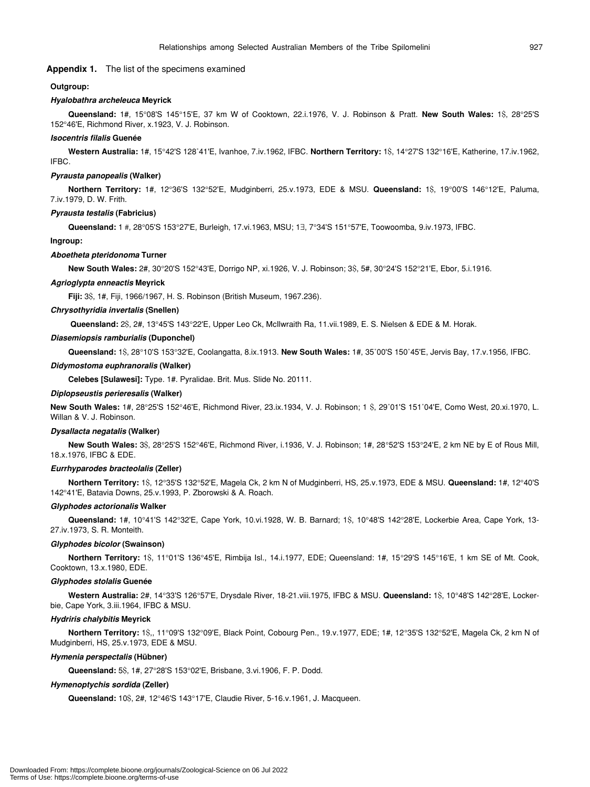### **Appendix 1.** The list of the specimens examined

#### **Outgroup:**

#### *Hyalobathra archeleuca* **Meyrick**

**Queensland:** 1#, 15°08'S 145°15'E, 37 km W of Cooktown, 22.i.1976, V. J. Robinson & Pratt. **New South Wales:** 1\$, 28°25'S 152°46'E, Richmond River, x.1923, V. J. Robinson.

#### *Isocentris filalis* **Guenée**

**Western Australia:** 1#, 15°42'S 128˚41'E, Ivanhoe, 7.iv.1962, IFBC. **Northern Territory:** 1\$, 14°27'S 132°16'E, Katherine, 17.iv.1962, IFBC.

#### *Pyrausta panopealis* **(Walker)**

**Northern Territory:** 1#, 12°36'S 132°52'E, Mudginberri, 25.v.1973, EDE & MSU. **Queensland:** 1\$, 19°00'S 146°12'E, Paluma, 7.iv.1979, D. W. Frith.

#### *Pyrausta testalis* **(Fabricius)**

**Queensland:** 1 #, 28°05'S 153°27'E, Burleigh, 17.vi.1963, MSU; 1∃, 7°34'S 151°57'E, Toowoomba, 9.iv.1973, IFBC.

#### **Ingroup:**

#### *Aboetheta pteridonoma* **Turner**

**New South Wales:** 2#, 30°20'S 152°43'E, Dorrigo NP, xi.1926, V. J. Robinson; 3\$, 5#, 30°24'S 152°21'E, Ebor, 5.i.1916.

#### *Agrioglypta enneactis* **Meyrick**

**Fiji:** 3\$, 1#, Fiji, 1966/1967, H. S. Robinson (British Museum, 1967.236).

#### *Chrysothyridia invertalis* **(Snellen)**

 **Queensland:** 2\$, 2#, 13°45'S 143°22'E, Upper Leo Ck, McIlwraith Ra, 11.vii.1989, E. S. Nielsen & EDE & M. Horak.

#### *Diasemiopsis ramburialis* **(Duponchel)**

**Queensland:** 1\$, 28°10'S 153°32'E, Coolangatta, 8.ix.1913. **New South Wales:** 1#, 35˚00'S 150˚45'E, Jervis Bay, 17.v.1956, IFBC.

#### *Didymostoma euphranoralis* **(Walker)**

**Celebes [Sulawesi]:** Type. 1#. Pyralidae. Brit. Mus. Slide No. 20111.

#### *Diplopseustis perieresalis* **(Walker)**

**New South Wales:** 1#, 28°25'S 152°46'E, Richmond River, 23.ix.1934, V. J. Robinson; 1 \$, 29˚01'S 151˚04'E, Como West, 20.xi.1970, L. Willan & V. J. Robinson.

#### *Dysallacta negatalis* **(Walker)**

**New South Wales:** 3\$, 28°25'S 152°46'E, Richmond River, i.1936, V. J. Robinson; 1#, 28°52'S 153°24'E, 2 km NE by E of Rous Mill, 18.x.1976, IFBC & EDE.

#### *Eurrhyparodes bracteolalis* **(Zeller)**

**Northern Territory:** 1\$, 12°35'S 132°52'E, Magela Ck, 2 km N of Mudginberri, HS, 25.v.1973, EDE & MSU. **Queensland:** 1#, 12°40'S 142°41'E, Batavia Downs, 25.v.1993, P. Zborowski & A. Roach.

#### *Glyphodes actorionalis* **Walker**

**Queensland:** 1#, 10°41'S 142°32'E, Cape York, 10.vi.1928, W. B. Barnard; 1\$, 10°48'S 142°28'E, Lockerbie Area, Cape York, 13- 27.iv.1973, S. R. Monteith.

#### *Glyphodes bicolor* **(Swainson)**

**Northern Territory:** 1\$, 11°01'S 136°45'E, Rimbija Isl., 14.i.1977, EDE; Queensland: 1#, 15°29'S 145°16'E, 1 km SE of Mt. Cook, Cooktown, 13.x.1980, EDE.

#### *Glyphodes stolalis* **Guenée**

**Western Australia:** 2#, 14°33'S 126°57'E, Drysdale River, 18-21.viii.1975, IFBC & MSU. **Queensland:** 1\$, 10°48'S 142°28'E, Lockerbie, Cape York, 3.iii.1964, IFBC & MSU.

#### *Hydriris chalybitis* **Meyrick**

**Northern Territory:** 1\$,, 11°09'S 132°09'E, Black Point, Cobourg Pen., 19.v.1977, EDE; 1#, 12°35'S 132°52'E, Magela Ck, 2 km N of Mudginberri, HS, 25.v.1973, EDE & MSU.

#### *Hymenia perspectalis* **(Hübner)**

**Queensland:** 5\$, 1#, 27°28'S 153°02'E, Brisbane, 3.vi.1906, F. P. Dodd.

#### *Hymenoptychis sordida* **(Zeller)**

**Queensland:** 10\$, 2#, 12°46'S 143°17'E, Claudie River, 5-16.v.1961, J. Macqueen.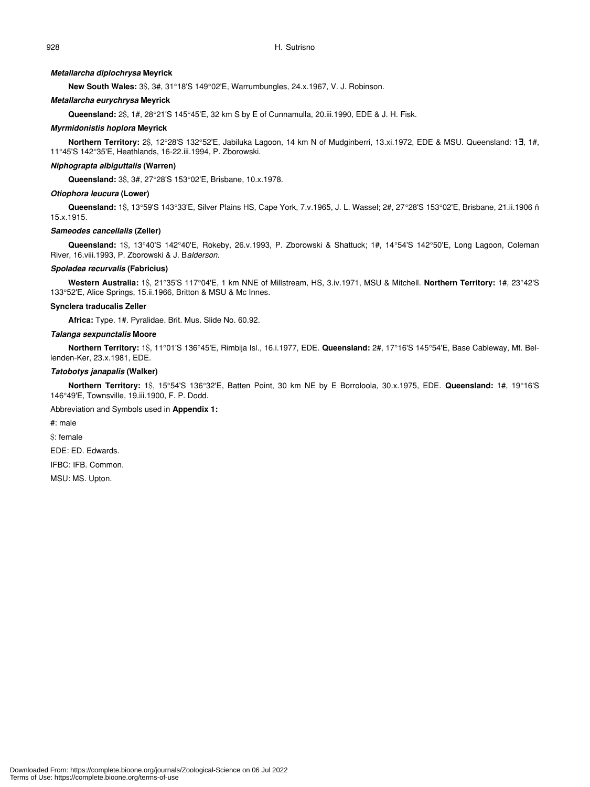#### *Metallarcha diplochrysa* **Meyrick**

**New South Wales:** 3\$, 3#, 31°18'S 149°02'E, Warrumbungles, 24.x.1967, V. J. Robinson.

#### *Metallarcha eurychrysa* **Meyrick**

**Queensland:** 2\$, 1#, 28°21'S 145°45'E, 32 km S by E of Cunnamulla, 20.iii.1990, EDE & J. H. Fisk.

#### *Myrmidonistis hoplora* **Meyrick**

**Northern Territory:** 2\$, 12°28'S 132°52'E, Jabiluka Lagoon, 14 km N of Mudginberri, 13.xi.1972, EDE & MSU. Queensland: 1∃, 1#, 11°45'S 142°35'E, Heathlands, 16-22.iii.1994, P. Zborowski.

#### *Niphograpta albiguttalis* **(Warren)**

**Queensland:** 3\$, 3#, 27°28'S 153°02'E, Brisbane, 10.x.1978.

#### *Otiophora leucura* **(Lower)**

**Queensland:** 1\$, 13°59'S 143°33'E, Silver Plains HS, Cape York, 7.v.1965, J. L. Wassel; 2#, 27°28'S 153°02'E, Brisbane, 21.ii.1906 ñ 15.x.1915.

#### *Sameodes cancellalis* **(Zeller)**

**Queensland:** 1\$, 13°40'S 142°40'E, Rokeby, 26.v.1993, P. Zborowski & Shattuck; 1#, 14°54'S 142°50'E, Long Lagoon, Coleman River, 16.viii.1993, P. Zborowski & J. B*alderson.*

#### *Spoladea recurvalis* **(Fabricius)**

**Western Australia:** 1\$, 21°35'S 117°04'E, 1 km NNE of Millstream, HS, 3.iv.1971, MSU & Mitchell. **Northern Territory:** 1#, 23°42'S 133°52'E, Alice Springs, 15.ii.1966, Britton & MSU & Mc Innes.

#### **Synclera traducalis Zeller**

**Africa:** Type. 1#. Pyralidae. Brit. Mus. Slide No. 60.92.

#### *Talanga sexpunctalis* **Moore**

**Northern Territory:** 1\$, 11°01'S 136°45'E, Rimbija Isl., 16.i.1977, EDE. **Queensland:** 2#, 17°16'S 145°54'E, Base Cableway, Mt. Bellenden-Ker, 23.x.1981, EDE.

#### *Tatobotys janapalis* **(Walker)**

**Northern Territory:** 1\$, 15°54'S 136°32'E, Batten Point, 30 km NE by E Borroloola, 30.x.1975, EDE. **Queensland:** 1#, 19°16'S 146°49'E, Townsville, 19.iii.1900, F. P. Dodd.

#### Abbreviation and Symbols used in **Appendix 1:**

#: male

\$: female

EDE: ED. Edwards.

IFBC: IFB. Common.

MSU: MS. Upton.